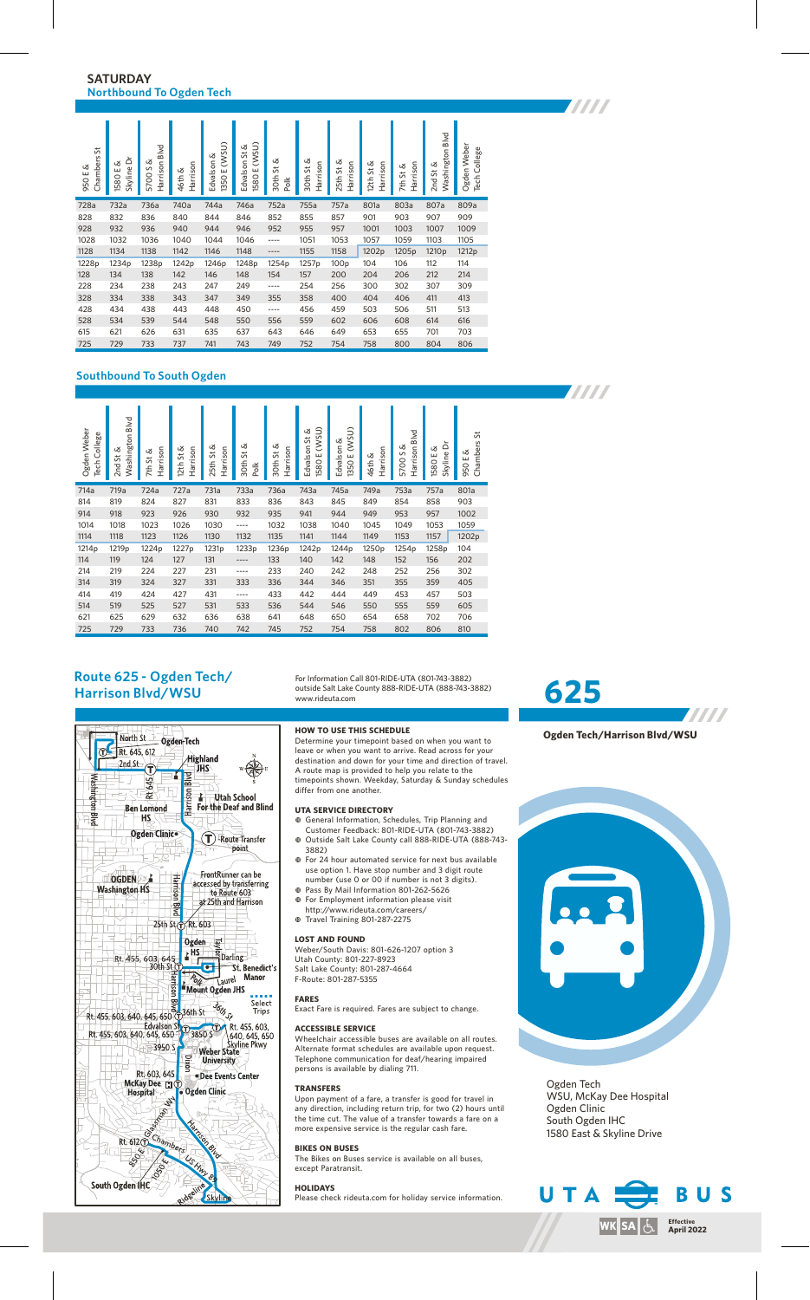**Northbound To Ogden Tech SATURDAY**

| 5<br>Chambers<br>త<br>950E | ٢<br>$\Omega$<br>త<br>Skyline<br>ш<br>1580 | <b>Blvd</b><br>ൾ<br>Harrison<br>S<br>5700 | Harrison<br>46th & | (WSU)<br>Edvalson &<br>1350 E | (WSU)<br>త<br>5<br>Edvalson<br>ш<br>1580 | య<br>5ť<br>30th<br>Polk | త<br>Harrison<br>30th St | ൾ<br>Harrison<br>s,<br>25th | Ø<br>Harrison<br>12th St | Harrison<br>య<br>7th St | Washington Blvd<br>త<br>2nd St | Ogden Weber<br>Tech College |
|----------------------------|--------------------------------------------|-------------------------------------------|--------------------|-------------------------------|------------------------------------------|-------------------------|--------------------------|-----------------------------|--------------------------|-------------------------|--------------------------------|-----------------------------|
| 728a                       | 732a                                       | 736a                                      | 740a               | 744a                          | 746a                                     | 752a                    | 755a                     | 757a                        | 801a                     | 803a                    | 807a                           | 809a                        |
| 828                        | 832                                        | 836                                       | 840                | 844                           | 846                                      | 852                     | 855                      | 857                         | 901                      | 903                     | 907                            | 909                         |
| 928                        | 932                                        | 936                                       | 940                | 944                           | 946                                      | 952                     | 955                      | 957                         | 1001                     | 1003                    | 1007                           | 1009                        |
| 1028                       | 1032                                       | 1036                                      | 1040               | 1044                          | 1046                                     | ----                    | 1051                     | 1053                        | 1057                     | 1059                    | 1103                           | 1105                        |
| 1128                       | 1134                                       | 1138                                      | 1142               | 1146                          | 1148                                     | ----                    | 1155                     | 1158                        | 1202p                    | 1205p                   | 1210 <sub>p</sub>              | 1212p                       |
| 1228p                      | 1234p                                      | 1238p                                     | 1242p              | 1246p                         | 1248p                                    | 1254p                   | 1257p                    | 100 <sub>p</sub>            | 104                      | 106                     | 112                            | 114                         |
| 128                        | 134                                        | 138                                       | 142                | 146                           | 148                                      | 154                     | 157                      | 200                         | 204                      | 206                     | 212                            | 214                         |
| 228                        | 234                                        | 238                                       | 243                | 247                           | 249                                      | ----                    | 254                      | 256                         | 300                      | 302                     | 307                            | 309                         |
| 328                        | 334                                        | 338                                       | 343                | 347                           | 349                                      | 355                     | 358                      | 400                         | 404                      | 406                     | 411                            | 413                         |
| 428                        | 434                                        | 438                                       | 443                | 448                           | 450                                      | ----                    | 456                      | 459                         | 503                      | 506                     | 511                            | 513                         |
| 528                        | 534                                        | 539                                       | 544                | 548                           | 550                                      | 556                     | 559                      | 602                         | 606                      | 608                     | 614                            | 616                         |
| 615                        | 621                                        | 626                                       | 631                | 635                           | 637                                      | 643                     | 646                      | 649                         | 653                      | 655                     | 701                            | 703                         |
| 725                        | 729                                        | 733                                       | 737                | 741                           | 743                                      | 749                     | 752                      | 754                         | 758                      | 800                     | 804                            | 806                         |

## **Southbound To South Ogden**

| Ogden Weber<br>College<br>Tech | Washington Blvd<br>య<br>5<br>2 <sub>nd</sub> | Harrison<br>Ø<br>7th St | ൾ<br>Harrison<br>12th St | Ø<br>Harrison<br>5<br>25th | త<br>5<br>30th<br>Polk | ൾ<br>Harrison<br>30th St | (WSU)<br>త<br>5<br>Edvalson<br>ш<br>1580 | (WSU)<br>Edvalson &<br>ш<br>1350 | Harrison<br>ൾ<br>46th | Harrison Blvd<br>Ø<br>$\sim$<br>5700 | ۵<br>త<br>Skyline<br>1580 E | ದ<br>Chambers<br>ൾ<br>950 E |
|--------------------------------|----------------------------------------------|-------------------------|--------------------------|----------------------------|------------------------|--------------------------|------------------------------------------|----------------------------------|-----------------------|--------------------------------------|-----------------------------|-----------------------------|
| 714a                           | 719a                                         | 724a                    | 727a                     | 731a                       | 733a                   | 736a                     | 743a                                     | 745a                             | 749a                  | 753a                                 | 757a                        | 801a                        |
| 814                            | 819                                          | 824                     | 827                      | 831                        | 833                    | 836                      | 843                                      | 845                              | 849                   | 854                                  | 858                         | 903                         |
| 914                            | 918                                          | 923                     | 926                      | 930                        | 932                    | 935                      | 941                                      | 944                              | 949                   | 953                                  | 957                         | 1002                        |
| 1014                           | 1018                                         | 1023                    | 1026                     | 1030                       | ----                   | 1032                     | 1038                                     | 1040                             | 1045                  | 1049                                 | 1053                        | 1059                        |
| 1114                           | 1118                                         | 1123                    | 1126                     | 1130                       | 1132                   | 1135                     | 1141                                     | 1144                             | 1149                  | 1153                                 | 1157                        | 1202p                       |
| 1214p                          | 1219 <sub>p</sub>                            | 1224p                   | 1227p                    | 1231p                      | 1233p                  | 1236p                    | 1242p                                    | 1244p                            | 1250p                 | 1254p                                | 1258p                       | 104                         |
| 114                            | 119                                          | 124                     | 127                      | 131                        | ----                   | 133                      | 140                                      | 142                              | 148                   | 152                                  | 156                         | 202                         |
| 214                            | 219                                          | 224                     | 227                      | 231                        | ----                   | 233                      | 240                                      | 242                              | 248                   | 252                                  | 256                         | 302                         |
| 314                            | 319                                          | 324                     | 327                      | 331                        | 333                    | 336                      | 344                                      | 346                              | 351                   | 355                                  | 359                         | 405                         |
| 414                            | 419                                          | 424                     | 427                      | 431                        | $---$                  | 433                      | 442                                      | 444                              | 449                   | 453                                  | 457                         | 503                         |
| 514                            | 519                                          | 525                     | 527                      | 531                        | 533                    | 536                      | 544                                      | 546                              | 550                   | 555                                  | 559                         | 605                         |
| 621                            | 625                                          | 629                     | 632                      | 636                        | 638                    | 641                      | 648                                      | 650                              | 654                   | 658                                  | 702                         | 706                         |
| 725                            | 729                                          | 733                     | 736                      | 740                        | 742                    | 745                      | 752                                      | 754                              | 758                   | 802                                  | 806                         | 810                         |

# **Route 625 - Ogden Tech/ Harrison Blvd/WSU**



For Information Call 801-RIDE-UTA (801-743-3882) outside Salt Lake County 888-RIDE-UTA (888-743-3882) www.rideuta.com

## **HOW TO USE THIS SCHEDULE**

Determine your timepoint based on when you want to leave or when you want to arrive. Read across for your destination and down for your time and direction of travel. A route map is provided to help you relate to the timepoints shown. Weekday, Saturday & Sunday schedules differ from one another.

### **UTA SERVICE DIRECTORY**

- General Information, Schedules, Trip Planning and Customer Feedback: 801-RIDE-UTA (801-743-3882) • Outside Salt Lake County call 888-RIDE-UTA (888-743- 3882)
- For 24 hour automated service for next bus available use option 1. Have stop number and 3 digit route
- number (use 0 or 00 if number is not 3 digits).
- Pass By Mail Information 801-262-5626 • For Employment information please visit
- http://www.rideuta.com/careers/
- Travel Training 801-287-2275

## **LOST AND FOUND**

Weber/South Davis: 801-626-1207 option 3 Utah County: 801-227-8923 Salt Lake County: 801-287-4664 F-Route: 801-287-5355

## **FARES**

Exact Fare is required. Fares are subject to change.

#### **ACCESSIBLE SERVICE**

Wheelchair accessible buses are available on all routes. Alternate format schedules are available upon request. Telephone communication for deaf/hearing impaired persons is available by dialing 711.

#### **TRANSFERS**

Upon payment of a fare, a transfer is good for travel in any direction, including return trip, for two (2) hours until the time cut. The value of a transfer towards a fare on a more expensive service is the regular cash fare.

#### **BIKES ON BUSES**

The Bikes on Buses service is available on all buses, except Paratransit.

#### **HOLIDAYS**

Please check rideuta.com for holiday service information.

# **625**

**TAAN** 

**TITTI** 

**Ogden Tech/Harrison Blvd/WSU**

**TITTI** 



Ogden Tech WSU, McKay Dee Hospital Ogden Clinic South Ogden IHC 1580 East & Skyline Drive